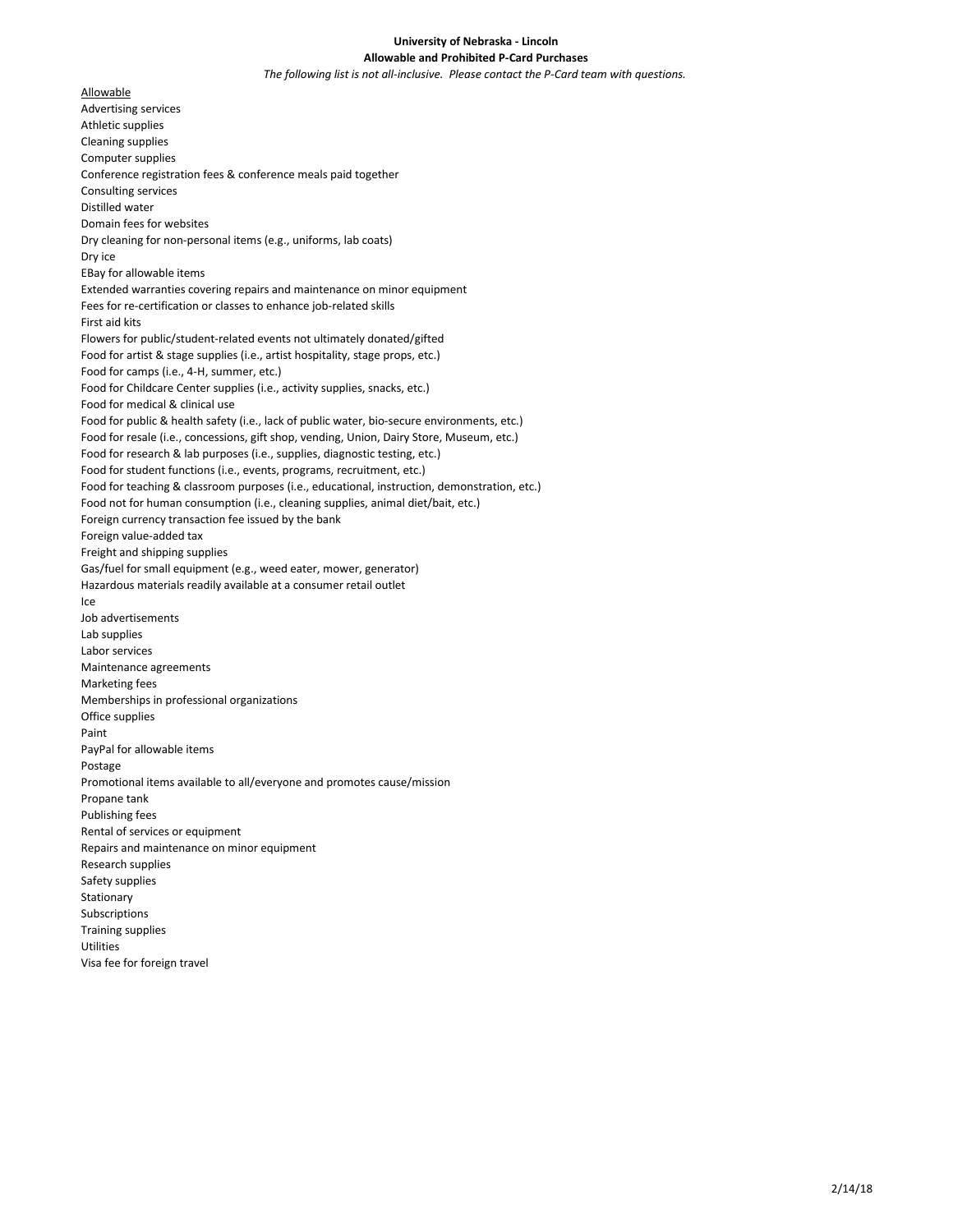## **University of Nebraska - Lincoln Allowable and Prohibited P-Card Purchases**

*The following list is not all-inclusive. Please contact the P-Card team with questions.*

Allowable Advertising services Athletic supplies Cleaning supplies Computer supplies Conference registration fees & conference meals paid together Consulting services Distilled water Domain fees for websites Dry cleaning for non-personal items (e.g., uniforms, lab coats) Dry ice EBay for allowable items Extended warranties covering repairs and maintenance on minor equipment Fees for re-certification or classes to enhance job-related skills First aid kits Flowers for public/student-related events not ultimately donated/gifted Food for artist & stage supplies (i.e., artist hospitality, stage props, etc.) Food for camps (i.e., 4-H, summer, etc.) Food for Childcare Center supplies (i.e., activity supplies, snacks, etc.) Food for medical & clinical use Food for public & health safety (i.e., lack of public water, bio-secure environments, etc.) Food for resale (i.e., concessions, gift shop, vending, Union, Dairy Store, Museum, etc.) Food for research & lab purposes (i.e., supplies, diagnostic testing, etc.) Food for student functions (i.e., events, programs, recruitment, etc.) Food for teaching & classroom purposes (i.e., educational, instruction, demonstration, etc.) Food not for human consumption (i.e., cleaning supplies, animal diet/bait, etc.) Foreign currency transaction fee issued by the bank Foreign value-added tax Freight and shipping supplies Gas/fuel for small equipment (e.g., weed eater, mower, generator) Hazardous materials readily available at a consumer retail outlet Ice Job advertisements Lab supplies Labor services Maintenance agreements Marketing fees Memberships in professional organizations Office supplies Paint PayPal for allowable items Postage Promotional items available to all/everyone and promotes cause/mission Propane tank Publishing fees Rental of services or equipment Repairs and maintenance on minor equipment Research supplies Safety supplies **Stationary** Subscriptions Training supplies **Utilities** Visa fee for foreign travel